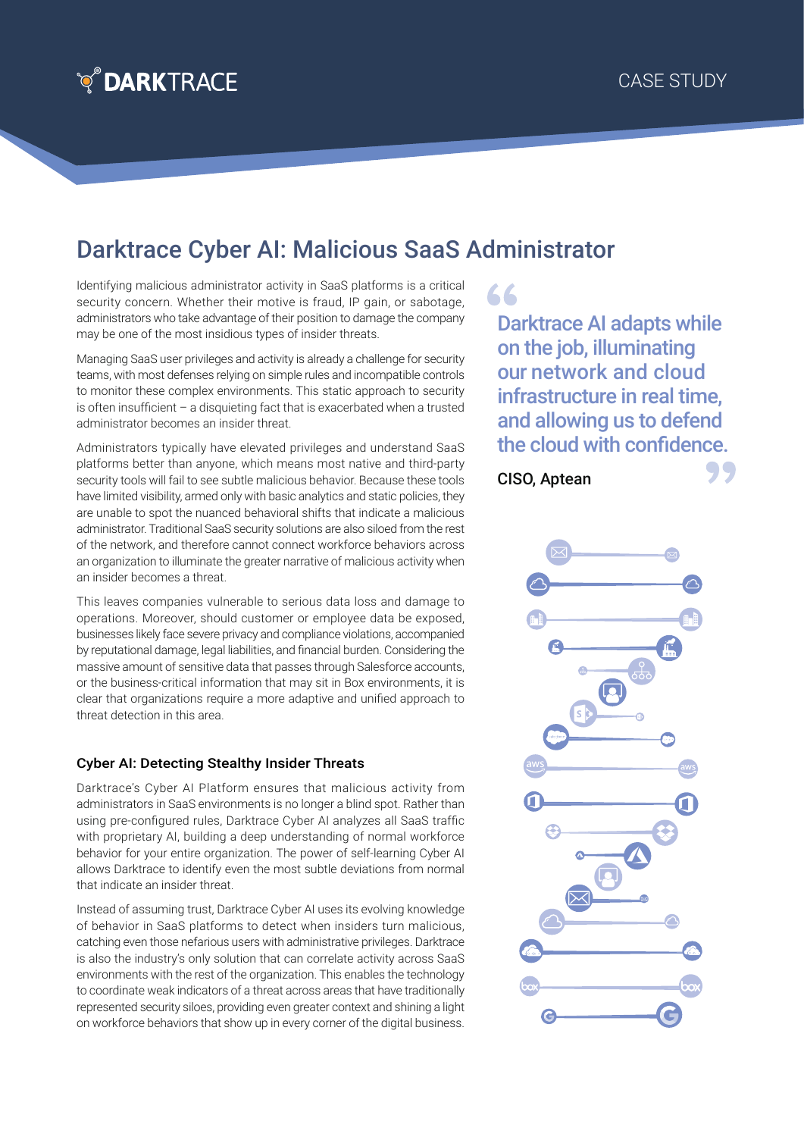

## Darktrace Cyber AI: Malicious SaaS Administrator

Identifying malicious administrator activity in SaaS platforms is a critical security concern. Whether their motive is fraud, IP gain, or sabotage, administrators who take advantage of their position to damage the company may be one of the most insidious types of insider threats.

Managing SaaS user privileges and activity is already a challenge for security teams, with most defenses relying on simple rules and incompatible controls to monitor these complex environments. This static approach to security is often insufficient – a disquieting fact that is exacerbated when a trusted administrator becomes an insider threat.

Administrators typically have elevated privileges and understand SaaS platforms better than anyone, which means most native and third-party security tools will fail to see subtle malicious behavior. Because these tools have limited visibility, armed only with basic analytics and static policies, they are unable to spot the nuanced behavioral shifts that indicate a malicious administrator. Traditional SaaS security solutions are also siloed from the rest of the network, and therefore cannot connect workforce behaviors across an organization to illuminate the greater narrative of malicious activity when an insider becomes a threat.

This leaves companies vulnerable to serious data loss and damage to operations. Moreover, should customer or employee data be exposed, businesses likely face severe privacy and compliance violations, accompanied by reputational damage, legal liabilities, and financial burden. Considering the massive amount of sensitive data that passes through Salesforce accounts, or the business-critical information that may sit in Box environments, it is clear that organizations require a more adaptive and unified approach to threat detection in this area.

## Cyber AI: Detecting Stealthy Insider Threats

Darktrace's Cyber AI Platform ensures that malicious activity from administrators in SaaS environments is no longer a blind spot. Rather than using pre-configured rules, Darktrace Cyber AI analyzes all SaaS traffic with proprietary AI, building a deep understanding of normal workforce behavior for your entire organization. The power of self-learning Cyber AI allows Darktrace to identify even the most subtle deviations from normal that indicate an insider threat.

Instead of assuming trust, Darktrace Cyber AI uses its evolving knowledge of behavior in SaaS platforms to detect when insiders turn malicious, catching even those nefarious users with administrative privileges. Darktrace is also the industry's only solution that can correlate activity across SaaS environments with the rest of the organization. This enables the technology to coordinate weak indicators of a threat across areas that have traditionally represented security siloes, providing even greater context and shining a light on workforce behaviors that show up in every corner of the digital business.

Darktrace AI adapts while on the job, illuminating our network and cloud infrastructure in real time, and allowing us to defend the cloud with confidence.

CISO, Aptean

66